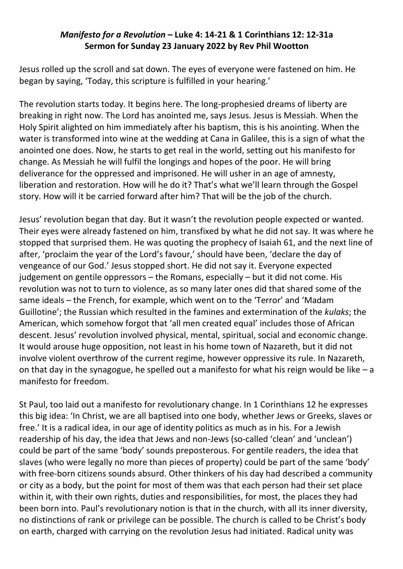## *Manifesto for a Revolution* **– Luke 4: 14-21 & 1 Corinthians 12: 12-31a Sermon for Sunday 23 January 2022 by Rev Phil Wootton**

Jesus rolled up the scroll and sat down. The eyes of everyone were fastened on him. He began by saying, 'Today, this scripture is fulfilled in your hearing.'

The revolution starts today. It begins here. The long-prophesied dreams of liberty are breaking in right now. The Lord has anointed me, says Jesus. Jesus is Messiah. When the Holy Spirit alighted on him immediately after his baptism, this is his anointing. When the water is transformed into wine at the wedding at Cana in Galilee, this is a sign of what the anointed one does. Now, he starts to get real in the world, setting out his manifesto for change. As Messiah he will fulfil the longings and hopes of the poor. He will bring deliverance for the oppressed and imprisoned. He will usher in an age of amnesty, liberation and restoration. How will he do it? That's what we'll learn through the Gospel story. How will it be carried forward after him? That will be the job of the church.

Jesus' revolution began that day. But it wasn't the revolution people expected or wanted. Their eyes were already fastened on him, transfixed by what he did not say. It was where he stopped that surprised them. He was quoting the prophecy of Isaiah 61, and the next line of after, 'proclaim the year of the Lord's favour,' should have been, 'declare the day of vengeance of our God.' Jesus stopped short. He did not say it. Everyone expected judgement on gentile oppressors – the Romans, especially – but it did not come. His revolution was not to turn to violence, as so many later ones did that shared some of the same ideals – the French, for example, which went on to the 'Terror' and 'Madam Guillotine'; the Russian which resulted in the famines and extermination of the *kulaks*; the American, which somehow forgot that 'all men created equal' includes those of African descent. Jesus' revolution involved physical, mental, spiritual, social and economic change. It would arouse huge opposition, not least in his home town of Nazareth, but it did not involve violent overthrow of the current regime, however oppressive its rule. In Nazareth, on that day in the synagogue, he spelled out a manifesto for what his reign would be like  $-$  a manifesto for freedom.

St Paul, too laid out a manifesto for revolutionary change. In 1 Corinthians 12 he expresses this big idea: 'In Christ, we are all baptised into one body, whether Jews or Greeks, slaves or free.' It is a radical idea, in our age of identity politics as much as in his. For a Jewish readership of his day, the idea that Jews and non-Jews (so-called 'clean' and 'unclean') could be part of the same 'body' sounds preposterous. For gentile readers, the idea that slaves (who were legally no more than pieces of property) could be part of the same 'body' with free-born citizens sounds absurd. Other thinkers of his day had described a community or city as a body, but the point for most of them was that each person had their set place within it, with their own rights, duties and responsibilities, for most, the places they had been born into. Paul's revolutionary notion is that in the church, with all its inner diversity, no distinctions of rank or privilege can be possible. The church is called to be Christ's body on earth, charged with carrying on the revolution Jesus had initiated. Radical unity was